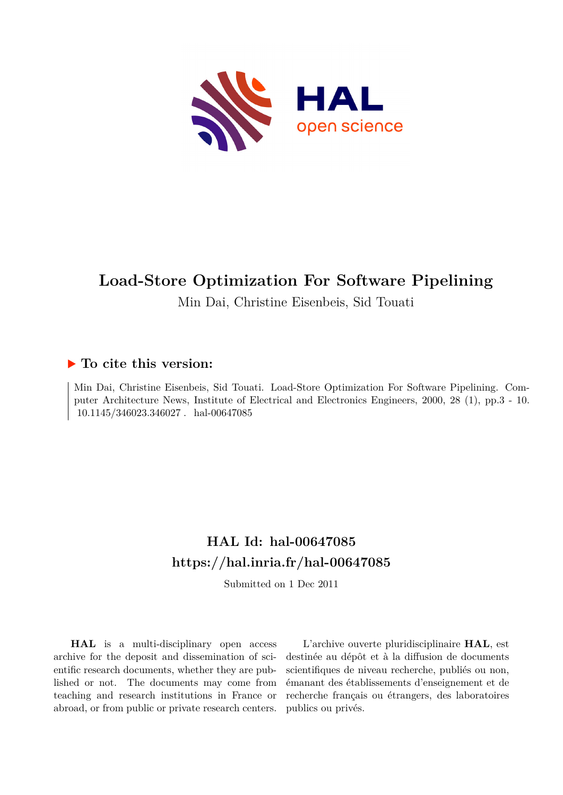

# **Load-Store Optimization For Software Pipelining**

Min Dai, Christine Eisenbeis, Sid Touati

## **To cite this version:**

Min Dai, Christine Eisenbeis, Sid Touati. Load-Store Optimization For Software Pipelining. Computer Architecture News, Institute of Electrical and Electronics Engineers, 2000, 28 (1), pp.3 - 10. 10.1145/346023.346027 . hal-00647085

# **HAL Id: hal-00647085 <https://hal.inria.fr/hal-00647085>**

Submitted on 1 Dec 2011

**HAL** is a multi-disciplinary open access archive for the deposit and dissemination of scientific research documents, whether they are published or not. The documents may come from teaching and research institutions in France or abroad, or from public or private research centers.

L'archive ouverte pluridisciplinaire **HAL**, est destinée au dépôt et à la diffusion de documents scientifiques de niveau recherche, publiés ou non, émanant des établissements d'enseignement et de recherche français ou étrangers, des laboratoires publics ou privés.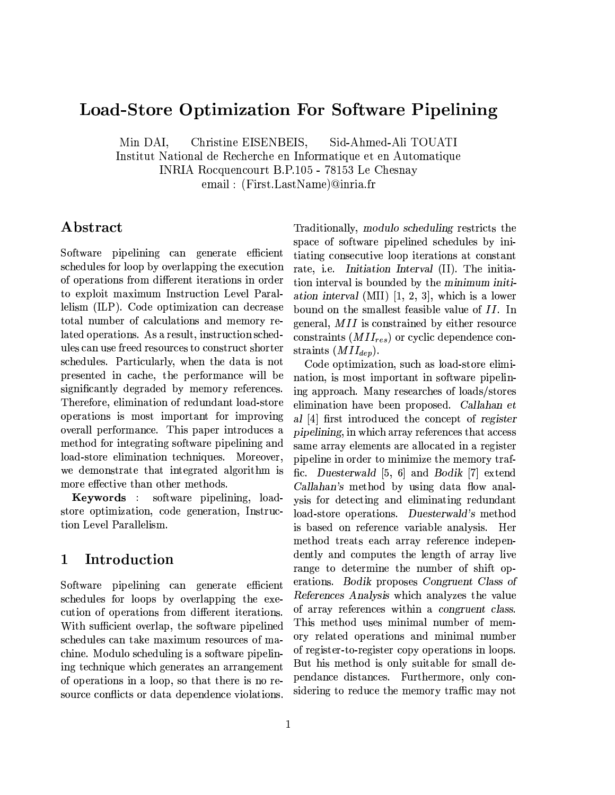## Load-Store Optimization For Software Pipelining

Min DAI, Christine EISENBEIS, Sid-Ahmed-Ali TOUATI

Institut National de Recherche en Informatique et en Automatique

INRIA Rocquencourt B.P.105 - 78153 Le Chesnay

email: (First.LastName)@inria.fr

## Abstract

Software pipelining can generate efficient schedules for loop by overlapping the execution of operations from different iterations in order to exploit maximum Instruction Level Parallelism (ILP). Code optimization can decrease total number of calculations and memory related operations. As a result, instruction schedules can use freed resources to construct shorter schedules. Particularly, when the data is not presented in cache, the performance will be significantly degraded by memory references. Therefore, elimination of redundant load-store operations is most important for improving overall performance. This paper introduces a method for integrating software pipelining and load-store elimination techniques. Moreover, we demonstrate that integrated algorithm is more effective than other methods.

Keywords : software pipelining, loadstore optimization, code generation, Instruction Level Parallelism.

#### Introduction  $\mathbf 1$

Software pipelining can generate efficient schedules for loops by overlapping the execution of operations from different iterations. With sufficient overlap, the software pipelined schedules can take maximum resources of machine. Modulo scheduling is a software pipelining technique which generates an arrangement of operations in a loop, so that there is no resource conflicts or data dependence violations.

Traditionally, modulo scheduling restricts the space of software pipelined schedules by initiating consecutive loop iterations at constant rate, i.e. Initiation Interval (II). The initiation interval is bounded by the minimum initiation interval (MII)  $[1, 2, 3]$ , which is a lower bound on the smallest feasible value of II. In general, MII is constrained by either resource constraints  $(MII_{res})$  or cyclic dependence constraints  $(MII_{dep})$ .

Code optimization, such as load-store elimination, is most important in software pipelining approach. Many researches of loads/stores elimination have been proposed. Callahan et al [4] first introduced the concept of register pipelining, in which array references that access same array elements are allocated in a register pipeline in order to minimize the memory traffic. Duesterwald [5, 6] and Bodik [7] extend Callahan's method by using data flow analysis for detecting and eliminating redundant load-store operations. Duesterwald's method is based on reference variable analysis. Her method treats each array reference independently and computes the length of array live range to determine the number of shift operations. Bodik proposes Congruent Class of References Analysis which analyzes the value of array references within a congruent class. This method uses minimal number of memory related operations and minimal number of register-to-register copy operations in loops. But his method is only suitable for small dependance distances. Furthermore, only considering to reduce the memory traffic may not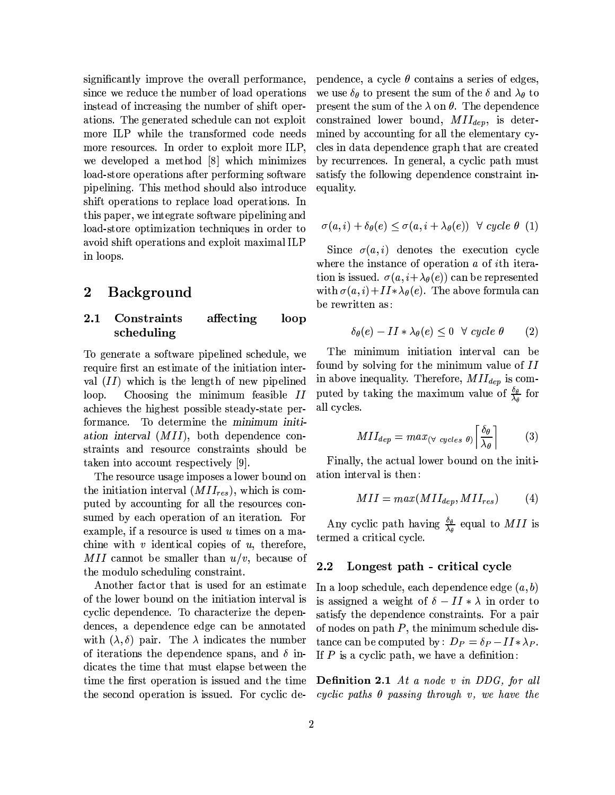significantly improve the overall performance, since we reduce the number of load operations instead of increasing the number of shift operations. The generated schedule can not exploit more ILP while the transformed code needs more resources. In order to exploit more ILP, we developed a method [8] which minimizes load-store operations after performing software pipelining. This method should also introduce shift operations to replace load operations. In this paper, we integrate software pipelining and load-store optimization techniques in order to avoid shift operations and exploit maximal ILP in loops.

#### **Background**  $\bf{2}$

#### Constraints  $2.1$ affecting loop scheduling

To generate a software pipelined schedule, we require first an estimate of the initiation interval  $(II)$  which is the length of new pipelined Choosing the minimum feasible II loop. achieves the highest possible steady-state performance. To determine the minimum initiation interval (MII), both dependence constraints and resource constraints should be taken into account respectively [9].

The resource usage imposes a lower bound on the initiation interval  $(MII_{res})$ , which is computed by accounting for all the resources consumed by each operation of an iteration. For example, if a resource is used  $u$  times on a machine with  $v$  identical copies of  $u$ , therefore, MII cannot be smaller than  $u/v$ , because of the modulo scheduling constraint.

Another factor that is used for an estimate of the lower bound on the initiation interval is cyclic dependence. To characterize the dependences, a dependence edge can be annotated with  $(\lambda, \delta)$  pair. The  $\lambda$  indicates the number of iterations the dependence spans, and  $\delta$  indicates the time that must elapse between the time the first operation is issued and the time the second operation is issued. For cyclic dependence, a cycle  $\theta$  contains a series of edges, we use  $\delta_{\theta}$  to present the sum of the  $\delta$  and  $\lambda_{\theta}$  to present the sum of the  $\lambda$  on  $\theta$ . The dependence constrained lower bound,  $MII_{dep}$ , is determined by accounting for all the elementary cycles in data dependence graph that are created by recurrences. In general, a cyclic path must satisfy the following dependence constraint inequality.

$$
\sigma(a, i) + \delta_{\theta}(e) \leq \sigma(a, i + \lambda_{\theta}(e)) \quad \forall \ cycle \ \theta \ (1)
$$

Since  $\sigma(a,i)$  denotes the execution cycle where the instance of operation  $a$  of ith iteration is issued.  $\sigma(a, i + \lambda_{\theta}(e))$  can be represented with  $\sigma(a,i)+II*\lambda_{\theta}(e)$ . The above formula can be rewritten as:

$$
\delta_{\theta}(e) - II * \lambda_{\theta}(e) \le 0 \quad \forall \ cycle \ \theta \tag{2}
$$

The minimum initiation interval can be found by solving for the minimum value of II in above inequality. Therefore,  $MII_{dep}$  is computed by taking the maximum value of  $\frac{\delta_{\theta}}{\lambda_a}$  for all cycles

$$
MII_{dep} = max_{(\forall \ cycles \ \theta)} \left[ \frac{\delta_{\theta}}{\lambda_{\theta}} \right] \tag{3}
$$

Finally, the actual lower bound on the initiation interval is then:

$$
MII = max(MII_{dep}, MII_{res})
$$
 (4)

Any cyclic path having  $\frac{\delta_{\theta}}{\lambda_{\theta}}$  equal to MII is termed a critical cycle.

#### Longest path - critical cycle  $2.2$

In a loop schedule, each dependence edge  $(a, b)$ is assigned a weight of  $\delta - II * \lambda$  in order to satisfy the dependence constraints. For a pair of nodes on path  $P$ , the minimum schedule distance can be computed by:  $D_P = \delta_P - II * \lambda_P$ . If  $P$  is a cyclic path, we have a definition:

**Definition 2.1** At a node v in DDG, for all cyclic paths  $\theta$  passing through v, we have the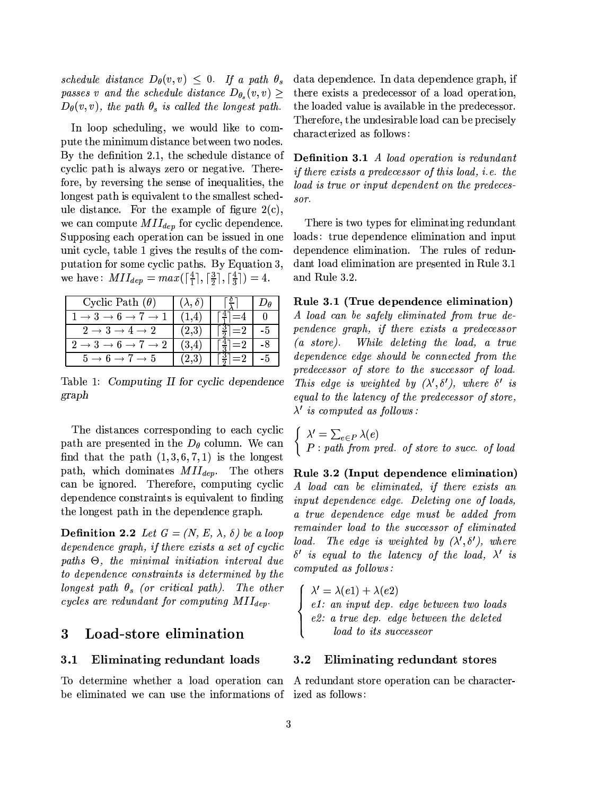schedule distance  $D_{\theta}(v, v) \leq 0$ . If a path  $\theta_s$ passes v and the schedule distance  $D_{\theta_s}(v,v) \geq$  $D_{\theta}(v, v)$ , the path  $\theta_s$  is called the longest path.

In loop scheduling, we would like to compute the minimum distance between two nodes. By the definition 2.1, the schedule distance of cyclic path is always zero or negative. Therefore, by reversing the sense of inequalities, the longest path is equivalent to the smallest schedule distance. For the example of figure  $2(c)$ , we can compute  $MII_{dep}$  for cyclic dependence. Supposing each operation can be issued in one unit cycle, table 1 gives the results of the computation for some cyclic paths. By Equation 3, we have:  $MII_{dep} = max(\lceil \frac{4}{1} \rceil, \lceil \frac{3}{2} \rceil, \lceil \frac{4}{3} \rceil) = 4.$ 

| Cyclic Path $(\theta)$                                           | $(\lambda, \delta)$ |                                 |    |
|------------------------------------------------------------------|---------------------|---------------------------------|----|
| $1 \rightarrow 3 \rightarrow 6 \rightarrow 7$<br>$\rightarrow$ 1 |                     |                                 |    |
| $2 \rightarrow 3 \rightarrow 4 \rightarrow 2$                    | (2,3)               |                                 | -5 |
| $\overline{1}$ 3 $\overline{2}$<br>$\rightarrow 2$               | (3,4)               |                                 |    |
| $5 \rightarrow 6 \rightarrow 7 \rightarrow 5$                    | (2.3)               | $\lceil \frac{3}{2} \rceil = 2$ | -5 |

Table 1: Computing II for cyclic dependence graph

The distances corresponding to each cyclic path are presented in the  $D_{\theta}$  column. We can find that the path  $(1,3,6,7,1)$  is the longest path, which dominates  $MII_{dep}$ . The others can be ignored. Therefore, computing cyclic dependence constraints is equivalent to finding the longest path in the dependence graph.

**Definition 2.2** Let  $G = (N, E, \lambda, \delta)$  be a loop dependence graph, if there exists a set of cyclic paths  $\Theta$ , the minimal initiation interval due to dependence constraints is determined by the longest path  $\theta_s$  (or critical path). The other cycles are redundant for computing  $MII_{dep}$ .

#### 3 Load-store elimination

#### Eliminating redundant loads  $3.1$

be eliminated we can use the informations of ized as follows:

data dependence. In data dependence graph, if there exists a predecessor of a load operation, the loaded value is available in the predecessor. Therefore, the undesirable load can be precisely characterized as follows:

**Definition 3.1** A load operation is redundant *if there exists a predecessor of this load, i.e. the* load is true or input dependent on the predeces $s$ or.

There is two types for eliminating redundant loads: true dependence elimination and input dependence elimination. The rules of redundant load elimination are presented in Rule 3.1 and Rule 3.2.

Rule 3.1 (True dependence elimination)

A load can be safely eliminated from true dependence graph, if there exists a predecessor  $(a \; store).$  While deleting the load, a true dependence edge should be connected from the predecessor of store to the successor of load. This edge is weighted by  $(\lambda', \delta')$ , where  $\delta'$  is equal to the latency of the predecessor of store,  $\lambda'$  is computed as follows:

 $\begin{cases} \lambda' = \sum_{e \in P} \lambda(e) \\ P : path \ from \ pred. \ of \ store \ to \ succ. \ of \ load \end{cases}$ 

Rule 3.2 (Input dependence elimination) A load can be eliminated, if there exists an input dependence edge. Deleting one of loads. a true dependence edge must be added from remainder load to the successor of eliminated load. The edge is weighted by  $(\lambda', \delta')$ , where  $\delta'$  is equal to the latency of the load,  $\lambda'$  is computed as follows:

 $\lambda' = \lambda(e1) + \lambda(e2)$ e1: an input dep. edge between two loads<br>e2: a true dep. edge between the deleted<br>load to its successeor

#### Eliminating redundant stores  $3.2$

To determine whether a load operation can A redundant store operation can be character-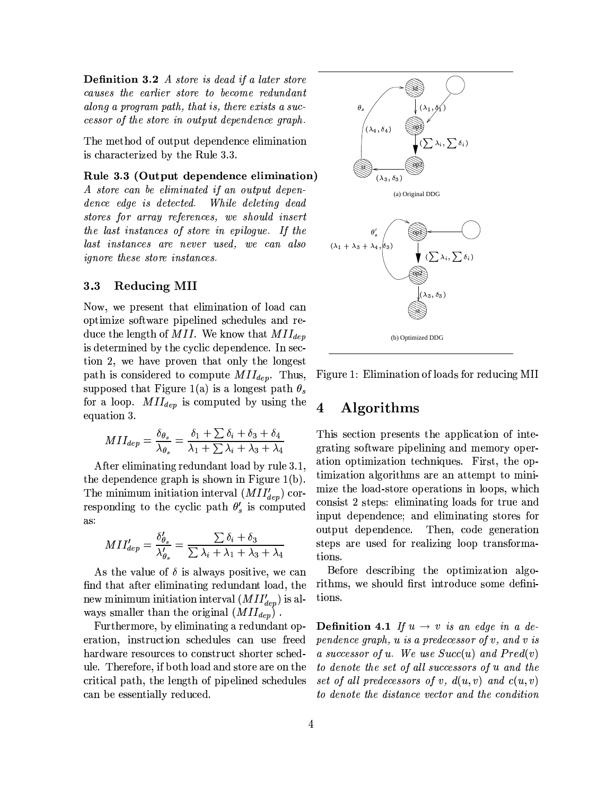**Definition 3.2** A store is dead if a later store causes the earlier store to become redundant along a program path, that is, there exists a successor of the store in output dependence graph.

The method of output dependence elimination is characterized by the Rule 3.3.

### Rule 3.3 (Output dependence elimination)

A store can be eliminated if an output dependence edge is detected. While deleting dead stores for array references, we should insert the last instances of store in epilogue. If the last instances are never used, we can also *ignore these store instances.* 

#### $3.3$ **Reducing MII**

Now, we present that elimination of load can optimize software pipelined schedules and reduce the length of MII. We know that  $MII_{dep}$ is determined by the cyclic dependence. In section 2, we have proven that only the longest path is considered to compute  $MII_{dep}$ . Thus, supposed that Figure 1(a) is a longest path  $\theta_s$ for a loop.  $MII_{dep}$  is computed by using the equation 3.

$$
MII_{dep} = \frac{\delta_{\theta_s}}{\lambda_{\theta_s}} = \frac{\delta_1 + \sum \delta_i + \delta_3 + \delta_4}{\lambda_1 + \sum \lambda_i + \lambda_3 + \lambda_4}
$$

After eliminating redundant load by rule 3.1. the dependence graph is shown in Figure  $1(b)$ . The minimum initiation interval  $(MII'_{dep})$  corresponding to the cyclic path  $\theta'_{s}$  is computed as:

$$
MI I_{dep}' = \frac{\delta_{\theta_s}'}{\lambda_{\theta_s}'} = \frac{\sum \delta_i + \delta_3}{\sum \lambda_i + \lambda_1 + \lambda_3 + \lambda_4}
$$

As the value of  $\delta$  is always positive, we can find that after eliminating redundant load, the new minimum initiation interval  $(MII'_{dep})$  is always smaller than the original  $(MII_{dep})$ .

Furthermore, by eliminating a redundant operation, instruction schedules can use freed hardware resources to construct shorter schedule. Therefore, if both load and store are on the critical path, the length of pipelined schedules can be essentially reduced.



Figure 1: Elimination of loads for reducing MII

#### $\overline{\mathbf{4}}$ Algorithms

This section presents the application of integrating software pipelining and memory operation optimization techniques. First, the optimization algorithms are an attempt to minimize the load-store operations in loops, which consist 2 steps: eliminating loads for true and input dependence; and eliminating stores for output dependence. Then, code generation steps are used for realizing loop transformations.

Before describing the optimization algorithms, we should first introduce some definitions.

**Definition 4.1** If  $u \rightarrow v$  is an edge in a dependence graph,  $u$  is a predecessor of  $v$ , and  $v$  is a successor of u. We use  $Succ(u)$  and  $Pred(v)$ to denote the set of all successors of u and the set of all predecessors of v,  $d(u, v)$  and  $c(u, v)$ to denote the distance vector and the condition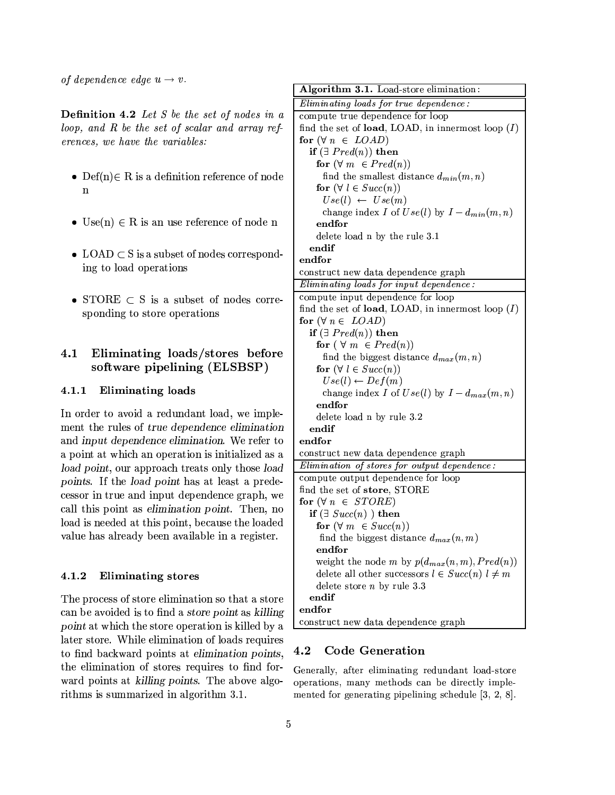of dependence edge  $u \rightarrow v$ .

**Definition 4.2** Let S be the set of nodes in a loop, and  $R$  be the set of scalar and array references, we have the variables:

- Def(n) $\in$  R is a definition reference of node  $\mathbf{n}$
- Use $(n) \in R$  is an use reference of node n
- LOAD  $\subset$  S is a subset of nodes corresponding to load operations
- STORE  $\subset$  S is a subset of nodes corresponding to store operations

### Eliminating loads/stores before  $4.1$ software pipelining (ELSBSP)

#### $4.1.1$ Eliminating loads

In order to avoid a redundant load, we implement the rules of true dependence elimination and input dependence elimination. We refer to a point at which an operation is initialized as a load point, our approach treats only those load points. If the load point has at least a predecessor in true and input dependence graph, we call this point as *elimination point*. Then, no load is needed at this point, because the loaded value has already been available in a register.

#### 4.1.2 **Eliminating stores**

The process of store elimination so that a store can be avoided is to find a store point as killing point at which the store operation is killed by a later store. While elimination of loads requires to find backward points at elimination points, the elimination of stores requires to find forward points at killing points. The above algorithms is summarized in algorithm 3.1.

| Algorithm 3.1. Load-store elimination:                 |
|--------------------------------------------------------|
| Eliminating loads for true dependence:                 |
| compute true dependence for loop                       |
| find the set of load, LOAD, in innermost loop $(I)$    |
| for $(\forall n \in LOAD)$                             |
| if $(\exists \; Pred(n))$ then                         |
| for $(\forall m \in Pred(n))$                          |
| find the smallest distance $d_{min}(m, n)$             |
| for $(\forall l \in Succ(n))$                          |
| $Use(l) \leftarrow Use(m)$                             |
| change index I of $Use(l)$ by $I - d_{min}(m, n)$      |
| endfor                                                 |
| delete load n by the rule 3.1                          |
| endif                                                  |
| endfor                                                 |
| construct new data dependence graph                    |
| Eliminating loads for input dependence:                |
| compute input dependence for loop                      |
| find the set of load, LOAD, in innermost loop $(I)$    |
| for $(\forall n \in\ LOAD)$                            |
| if $(\exists \; Pred(n))$ then                         |
| for $(\forall m \in Pred(n))$                          |
| find the biggest distance $d_{max}(m, n)$              |
| for $(\forall l \in Succ(n))$                          |
| $Use(l) \leftarrow Def(m)$                             |
| change index I of $Use(l)$ by $I - d_{max}(m, n)$      |
| endfor                                                 |
| delete load n by rule 3.2                              |
| endif                                                  |
| endfor                                                 |
| construct new data dependence graph                    |
| Elimination of stores for output dependence:           |
| compute output dependence for loop                     |
| find the set of store, STORE                           |
| for $(\forall n \in STORE)$                            |
| if $(\exists \; Succ(n) \; )$ then                     |
| for $(\forall m \in Succ(n))$                          |
| find the biggest distance $d_{max}(n, m)$              |
| endfor                                                 |
| weight the node m by $p(d_{max}(n,m),Pred(n))$         |
| delete all other successors $l \in Succ(n)$ $l \neq m$ |
| delete store $n$ by rule 3.3                           |
| endif                                                  |
| endfor                                                 |
| construct new data dependence graph                    |
|                                                        |

#### 4.2 **Code Generation**

Generally, after eliminating redundant load-store operations, many methods can be directly implemented for generating pipelining schedule [3, 2, 8].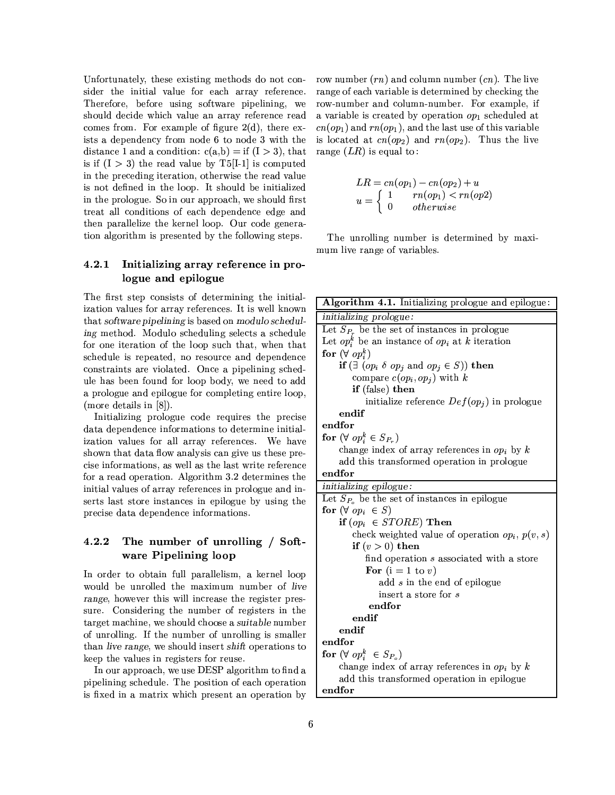Unfortunately, these existing methods do not consider the initial value for each array reference. Therefore, before using software pipelining, we should decide which value an array reference read comes from. For example of figure  $2(d)$ , there exists a dependency from node 6 to node 3 with the distance 1 and a condition:  $c(a,b) = if (I > 3)$ , that is if  $(I > 3)$  the read value by T5[I-1] is computed in the preceding iteration, otherwise the read value is not defined in the loop. It should be initialized in the prologue. So in our approach, we should first treat all conditions of each dependence edge and then parallelize the kernel loop. Our code generation algorithm is presented by the following steps.

#### 4.2.1 Initializing array reference in prologue and epilogue

The first step consists of determining the initialization values for array references. It is well known that software pipelining is based on modulo scheduling method. Modulo scheduling selects a schedule for one iteration of the loop such that, when that schedule is repeated, no resource and dependence constraints are violated. Once a pipelining schedule has been found for loop body, we need to add a prologue and epilogue for completing entire loop, (more details in  $[8]$ ).

Initializing prologue code requires the precise data dependence informations to determine initialization values for all array references. We have shown that data flow analysis can give us these precise informations, as well as the last write reference for a read operation. Algorithm 3.2 determines the initial values of array references in prologue and inserts last store instances in epilogue by using the precise data dependence informations.

#### 4.2.2 The number of unrolling / Software Pipelining loop

In order to obtain full parallelism, a kernel loop would be unrolled the maximum number of live range, however this will increase the register pressure. Considering the number of registers in the target machine, we should choose a suitable number of unrolling. If the number of unrolling is smaller than live range, we should insert shift operations to keep the values in registers for reuse.

In our approach, we use DESP algorithm to find a pipelining schedule. The position of each operation is fixed in a matrix which present an operation by row number  $(rn)$  and column number  $(cn)$ . The live range of each variable is determined by checking the row-number and column-number. For example, if a variable is created by operation  $op<sub>1</sub>$  scheduled at  $cn(op_1)$  and  $rn(op_1)$ , and the last use of this variable is located at  $cn(op_2)$  and  $rn(op_2)$ . Thus the live range  $(LR)$  is equal to:

$$
LR = cn(op_1) - cn(op_2) + u
$$
  

$$
u = \begin{cases} 1 & rn(op_1) < rn(op2) \\ 0 & otherwise \end{cases}
$$

The unrolling number is determined by maximum live range of variables.

| Algorithm 4.1. Initializing prologue and epilogue:             |  |  |  |  |  |
|----------------------------------------------------------------|--|--|--|--|--|
| initializing prologue:                                         |  |  |  |  |  |
| Let $S_{P_r}$ be the set of instances in prologue              |  |  |  |  |  |
| Let $op_i^k$ be an instance of $op_i$ at k iteration           |  |  |  |  |  |
| for $(\forall op_i^k)$                                         |  |  |  |  |  |
| if $(\exists (op_i \delta op_j \text{ and } op_j \in S))$ then |  |  |  |  |  |
| compare $c(op_i, op_j)$ with k                                 |  |  |  |  |  |
| if (false) then                                                |  |  |  |  |  |
| initialize reference $Def(op_i)$ in prologue                   |  |  |  |  |  |
| endif                                                          |  |  |  |  |  |
| endfor                                                         |  |  |  |  |  |
| for $(\forall op_i^k \in S_{P_n})$                             |  |  |  |  |  |
| change index of array references in $op_i$ by k                |  |  |  |  |  |
| add this transformed operation in prologue                     |  |  |  |  |  |
| endfor                                                         |  |  |  |  |  |
| initializing epilogue:                                         |  |  |  |  |  |
| Let $S_{P_0}$ be the set of instances in epilogue              |  |  |  |  |  |
| for $(\forall op_i \in S)$                                     |  |  |  |  |  |
| if $(op_i \in STORE)$ Then                                     |  |  |  |  |  |
| check weighted value of operation $op_i$ , $p(v, s)$           |  |  |  |  |  |
| if $(v > 0)$ then                                              |  |  |  |  |  |
| find operation s associated with a store                       |  |  |  |  |  |
| For $(i = 1 to v)$                                             |  |  |  |  |  |
| add $s$ in the end of epilogue                                 |  |  |  |  |  |
| insert a store for s                                           |  |  |  |  |  |
| endfor                                                         |  |  |  |  |  |
| endif                                                          |  |  |  |  |  |
| endif                                                          |  |  |  |  |  |
| endfor                                                         |  |  |  |  |  |
| for $(\forall op_i^k \in S_{P_o})$                             |  |  |  |  |  |
| change index of array references in $op_i$ by k                |  |  |  |  |  |
| add this transformed operation in epilogue                     |  |  |  |  |  |
| endfor                                                         |  |  |  |  |  |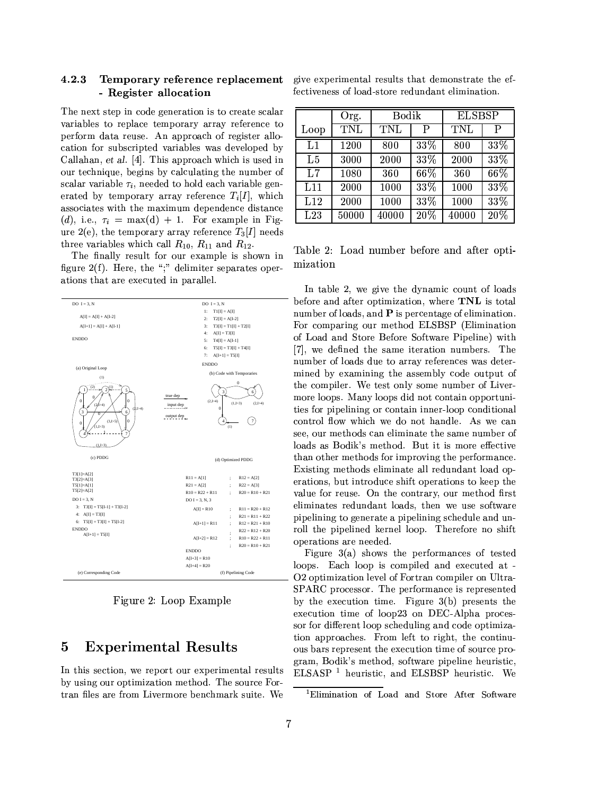### 4.2.3 - Register allocation

The next step in code generation is to create scalar variables to replace temporary array reference to perform data reuse. An approach of register allocation for subscripted variables was developed by Callahan, et al. [4]. This approach which is used in our technique, begins by calculating the number of scalar variable  $\tau_i$ , needed to hold each variable generated by temporary array reference  $T_i[I]$ , which associates with the maximum dependence distance (d), i.e.,  $\tau_i = \max(d) + 1$ . For example in Figure 2(e), the temporary array reference  $T_3[I]$  needs three variables which call  $R_{10}$ ,  $R_{11}$  and  $R_{12}$ .

The finally result for our example is shown in figure  $2(f)$ . Here, the ";" delimiter separates operations that are executed in parallel.



Figure 2: Loop Example

#### 5 **Experimental Results**

In this section, we report our experimental results by using our optimization method. The source Fortran files are from Livermore benchmark suite. We

Temporary reference replacement give experimental results that demonstrate the effectiveness of load-store redundant elimination.

|      | Org.  | Bodik |     | <b>ELSBSP</b> |        |
|------|-------|-------|-----|---------------|--------|
| Loop | TNL   | TNL   | P   | TNL           | P      |
| L1   | 1200  | 800   | 33% | 800           | 33%    |
| L5   | 3000  | 2000  | 33% | 2000          | 33%    |
| L7   | 1080  | 360   | 66% | 360           | 66%    |
| L11  | 2000  | 1000  | 33% | 1000          | $33\%$ |
| L12  | 2000  | 1000  | 33% | 1000          | $33\%$ |
| L23  | 50000 | 40000 | 20% | 40000         | 20%    |

Table 2: Load number before and after optimization

In table 2, we give the dynamic count of loads before and after optimization, where TNL is total number of loads, and P is percentage of elimination. For comparing our method ELSBSP (Elimination of Load and Store Before Software Pipeline) with [7], we defined the same iteration numbers. The number of loads due to array references was determined by examining the assembly code output of the compiler. We test only some number of Livermore loops. Many loops did not contain opportunities for pipelining or contain inner-loop conditional control flow which we do not handle. As we can see, our methods can eliminate the same number of loads as Bodik's method. But it is more effective than other methods for improving the performance. Existing methods eliminate all redundant load operations, but introduce shift operations to keep the value for reuse. On the contrary, our method first eliminates redundant loads, then we use software pipelining to generate a pipelining schedule and unroll the pipelined kernel loop. Therefore no shift operations are needed.

Figure  $3(a)$  shows the performances of tested loops. Each loop is compiled and executed at -O2 optimization level of Fortran compiler on Ultra-SPARC processor. The performance is represented by the execution time. Figure  $3(b)$  presents the execution time of loop23 on DEC-Alpha processor for different loop scheduling and code optimization approaches. From left to right, the continuous bars represent the execution time of source program, Bodik's method, software pipeline heuristic, ELSASP<sup>1</sup> heuristic, and ELSBSP heuristic. We

<sup>&</sup>lt;sup>1</sup>Elimination of Load and Store After Software